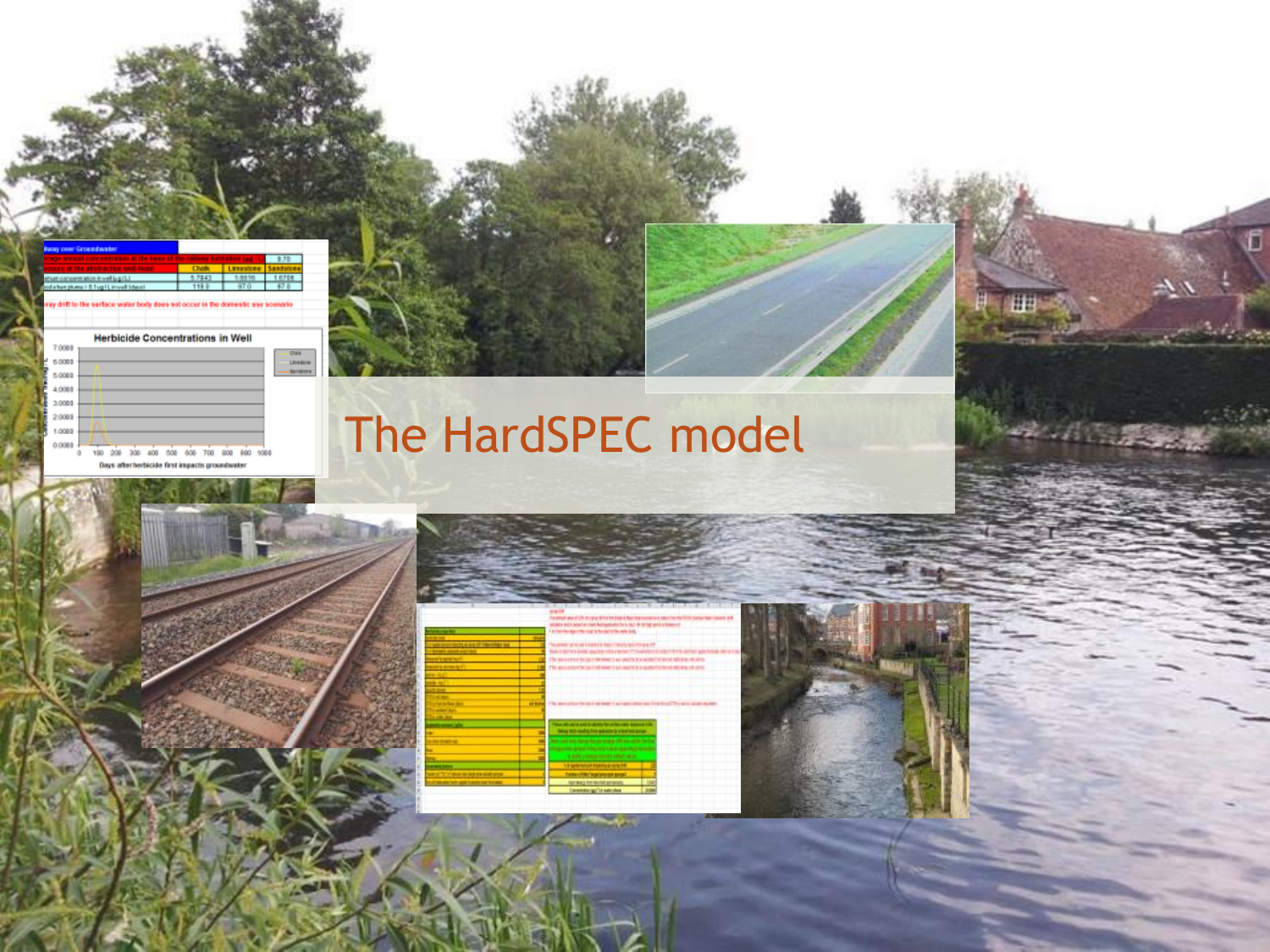| <b>busy over Groundwater</b>                                        |        |  |
|---------------------------------------------------------------------|--------|--|
| any around concentration of the base of the radiotal formation (a). |        |  |
| views of the abstractive unit home                                  |        |  |
| inum concernation in well justiful                                  | 5.7843 |  |
| ind when plume > E Tug I Linveel Identi                             |        |  |

**Herbicide Concentrations in Well** 7,0000 CTURE<br>LEFANDING<br>Management 6.0000 5.0088 4,0080 3,0000 2,0088 1,0000 0.0088

100 208 308 408 508 608 708 808 980 1088 Days after herbicide first impacts groundwater





# The HardSPEC model



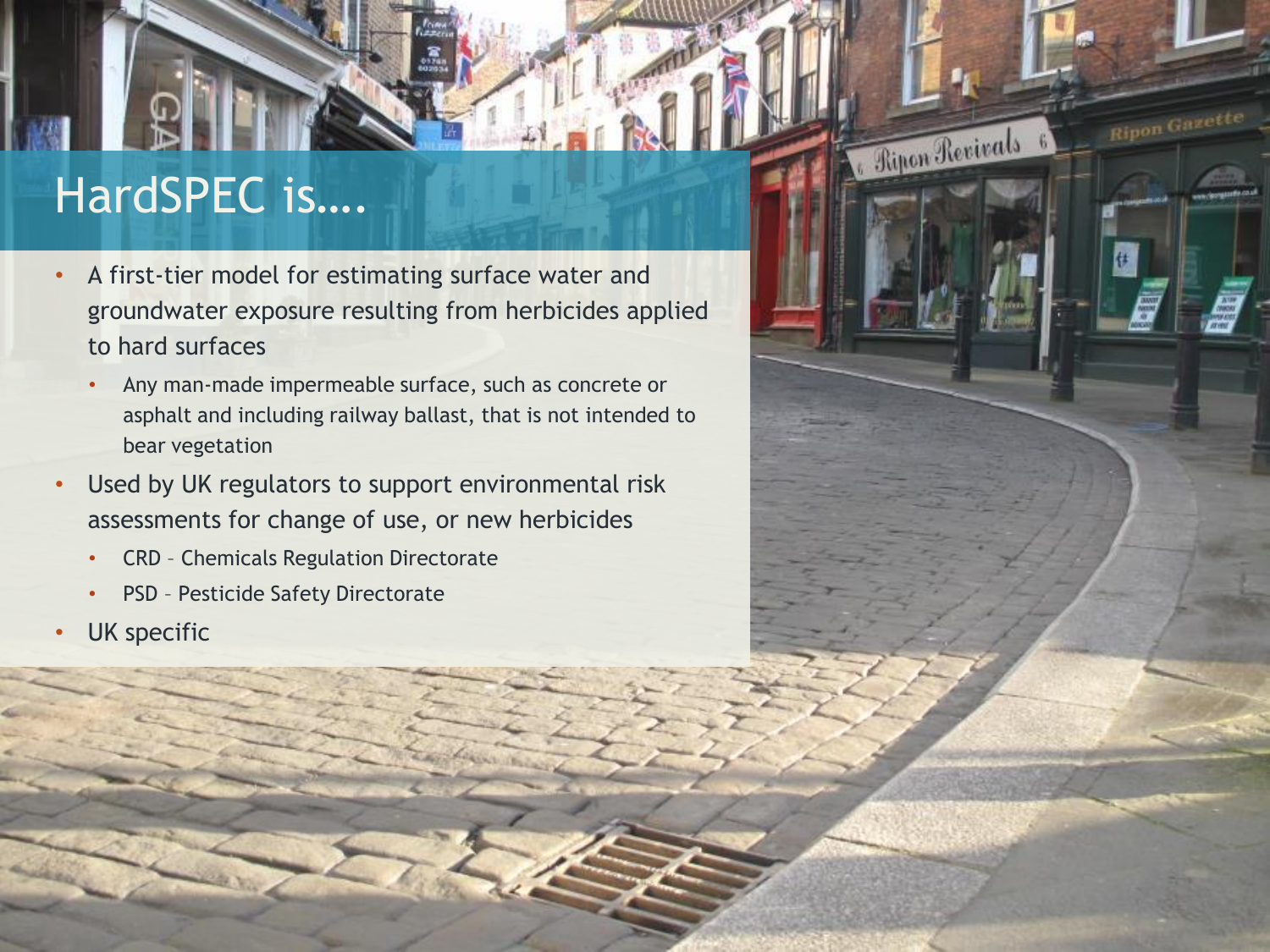# HardSPEC is….

• A first-tier model for estimating surface water and groundwater exposure resulting from herbicides applied to hard surfaces

**Ripon Gazette** 

**Continues Revivals** 

- Any man-made impermeable surface, such as concrete or asphalt and including railway ballast, that is not intended to bear vegetation
- Used by UK regulators to support environmental risk assessments for change of use, or new herbicides
	- CRD Chemicals Regulation Directorate
	- PSD Pesticide Safety Directorate
- UK specific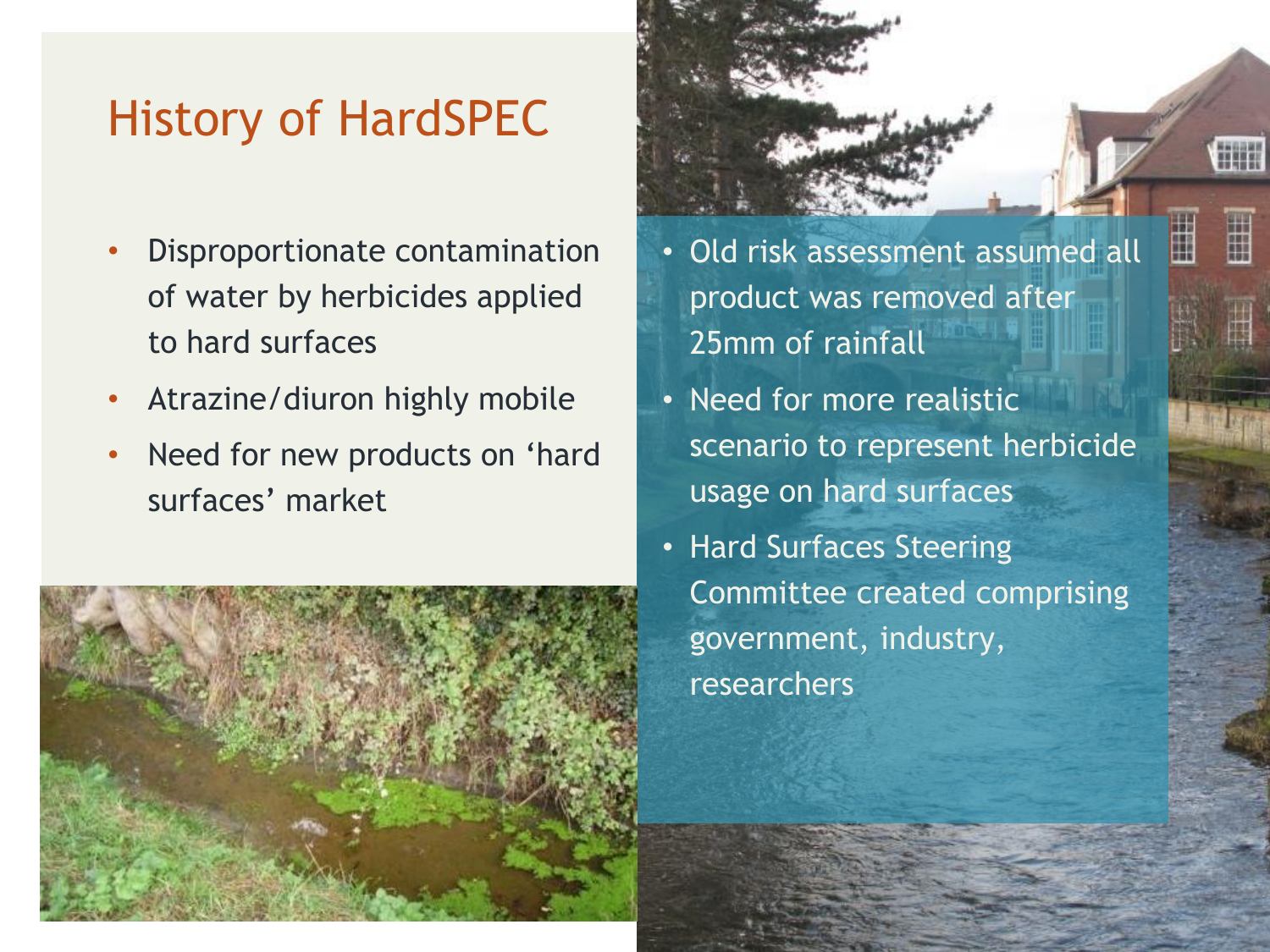# History of HardSPEC

- Disproportionate contamination of water by herbicides applied to hard surfaces
- Atrazine/diuron highly mobile
- Need for new products on 'hard surfaces' market





H

ä

- Need for more realistic scenario to represent herbicide usage on hard surfaces
- Hard Surfaces Steering Committee created comprising government, industry, researchers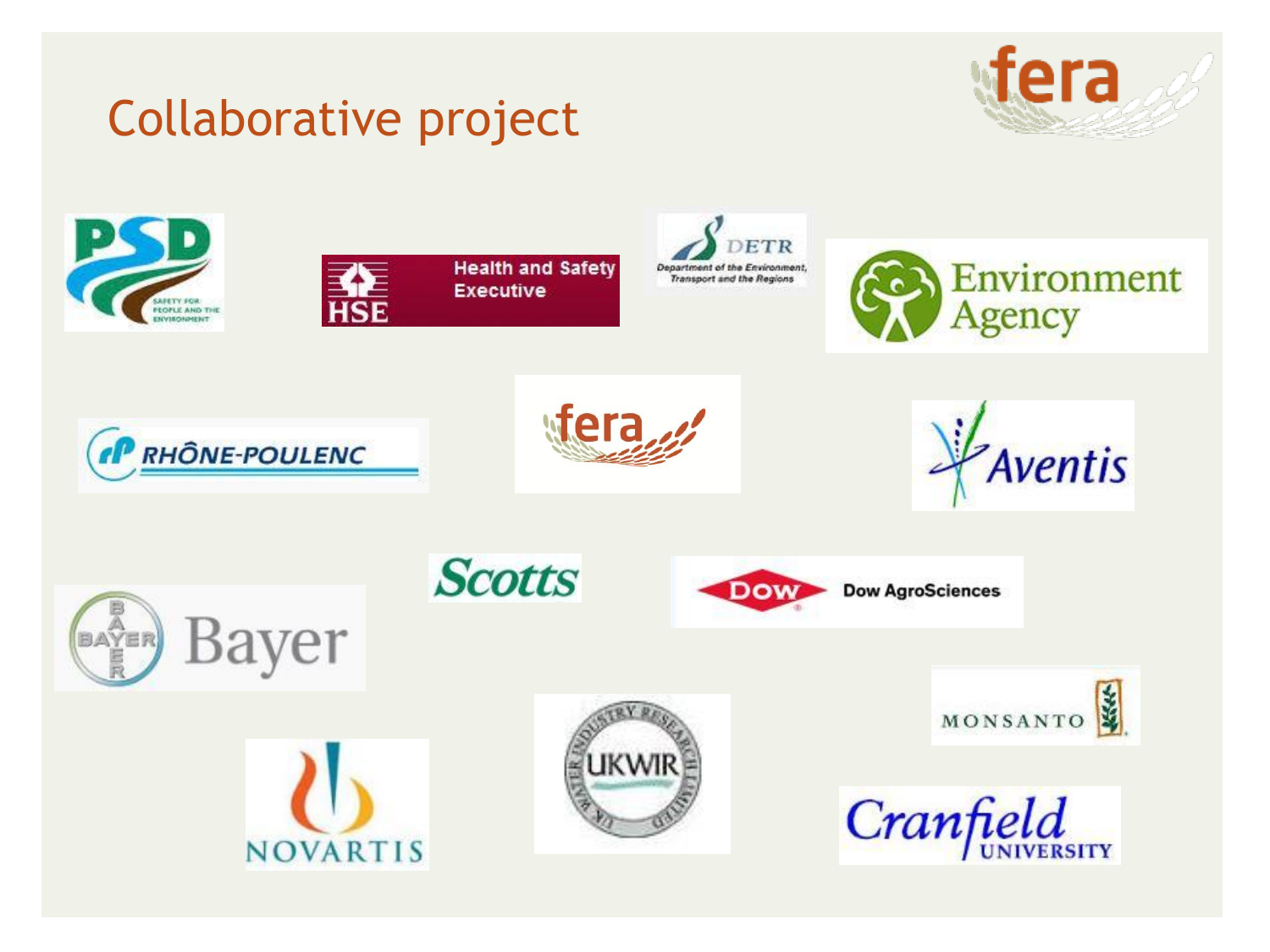

# Collaborative project

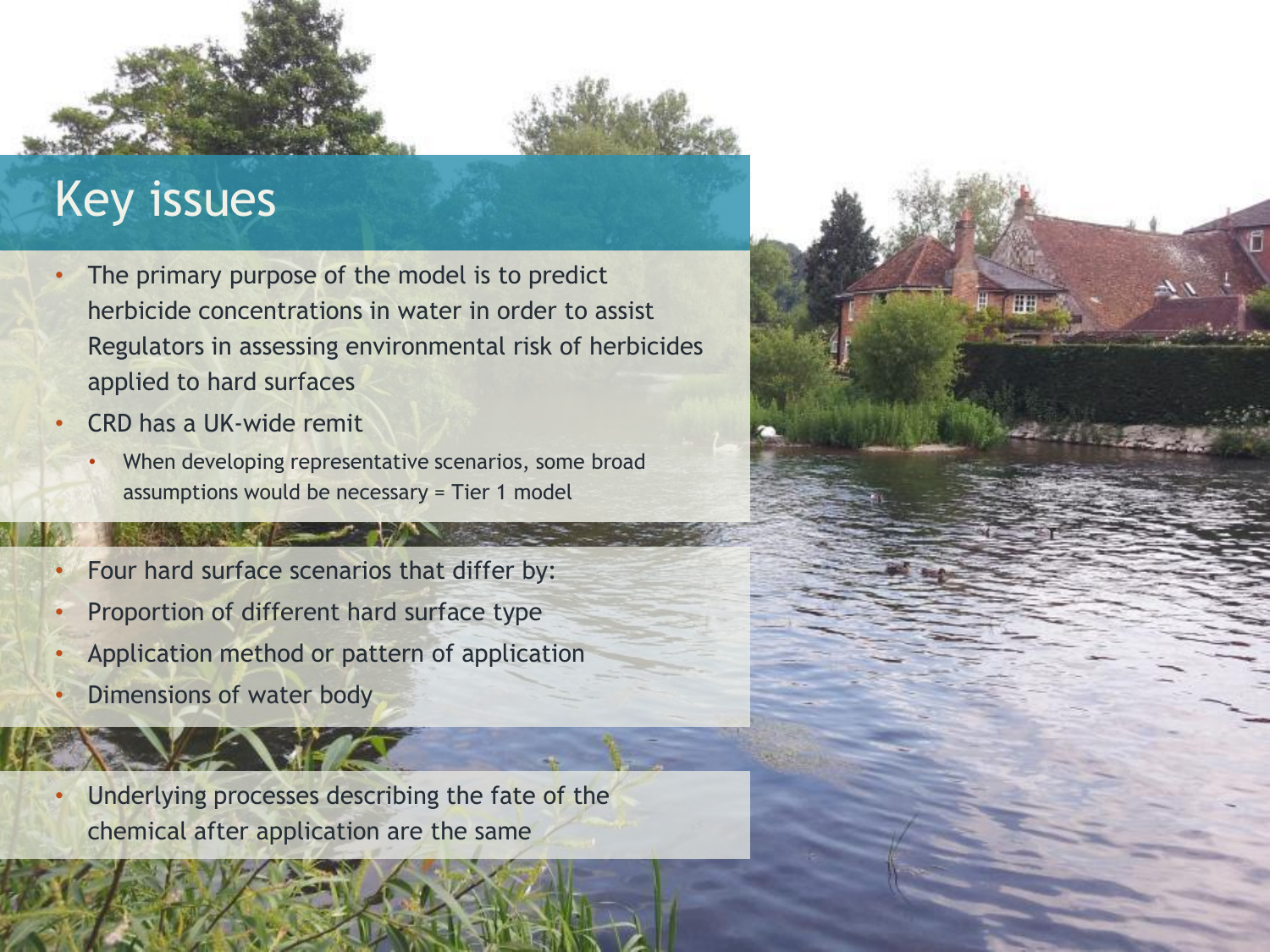# Key issues

- The primary purpose of the model is to predict herbicide concentrations in water in order to assist Regulators in assessing environmental risk of herbicides applied to hard surfaces
- CRD has a UK-wide remit
	- When developing representative scenarios, some broad assumptions would be necessary = Tier 1 model
- Four hard surface scenarios that differ by:
- Proportion of different hard surface type
- Application method or pattern of application
- Dimensions of water body
- Underlying processes describing the fate of the chemical after application are the same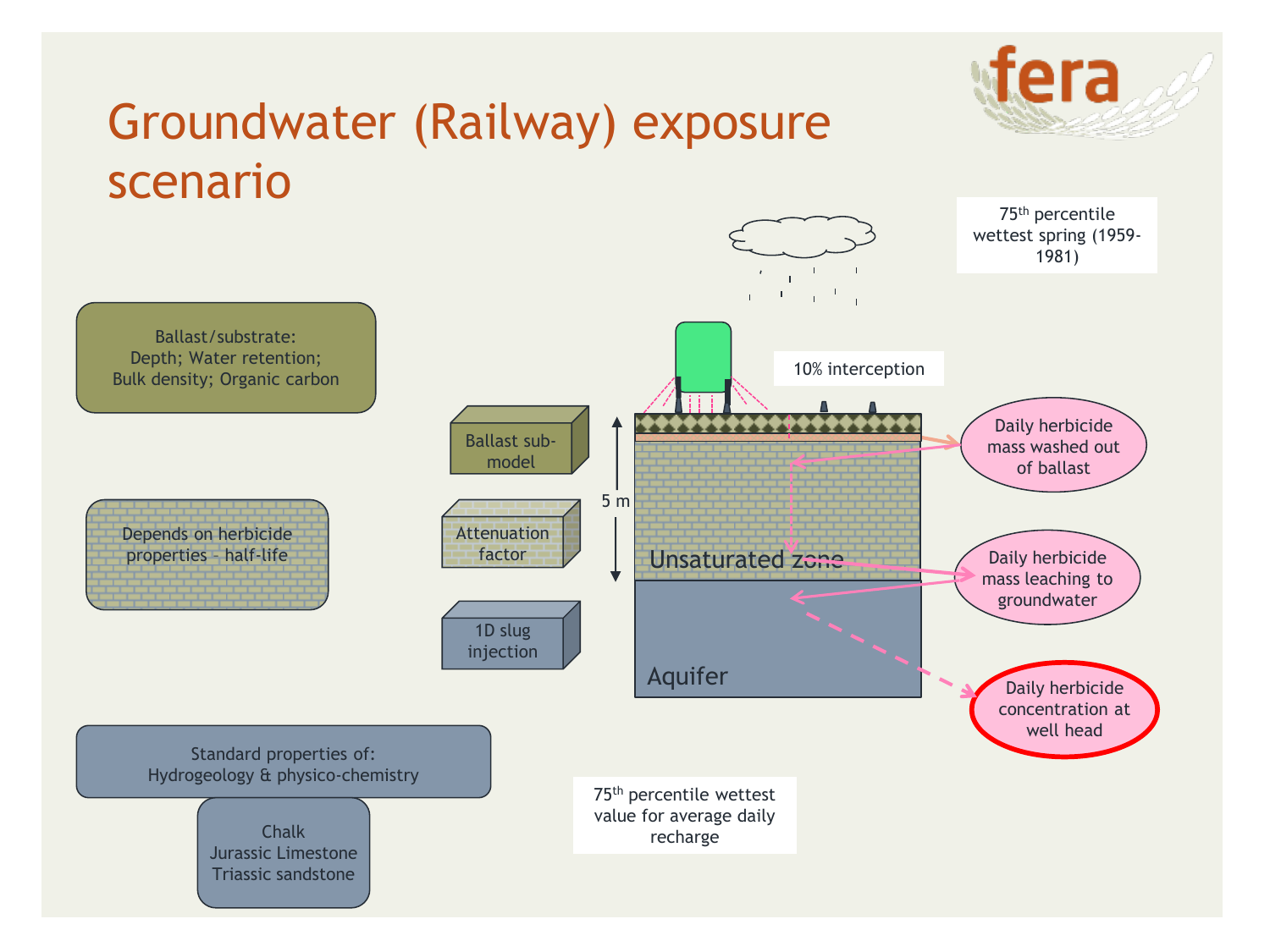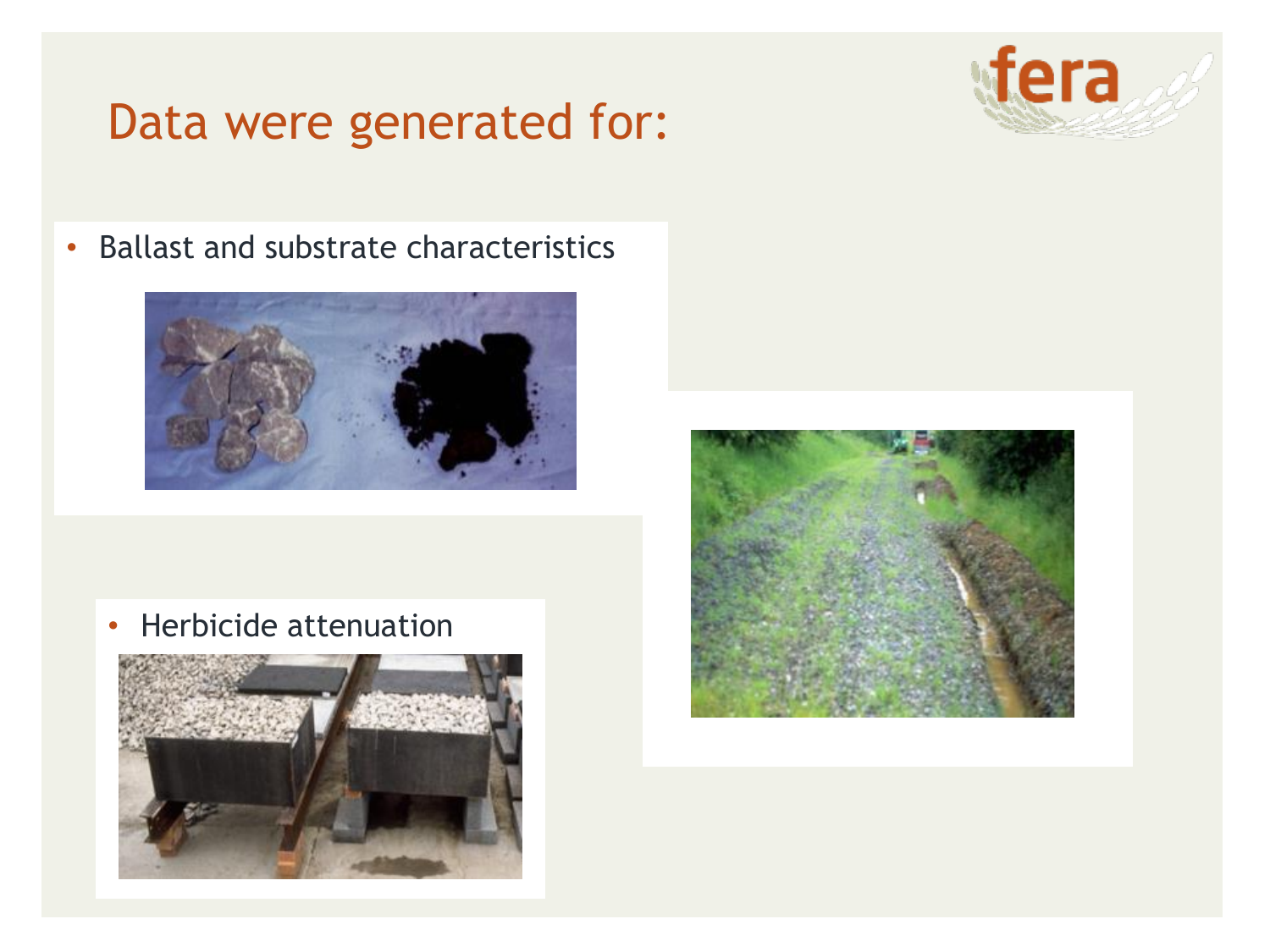#### Data were generated for:



• Ballast and substrate characteristics



• Herbicide attenuation



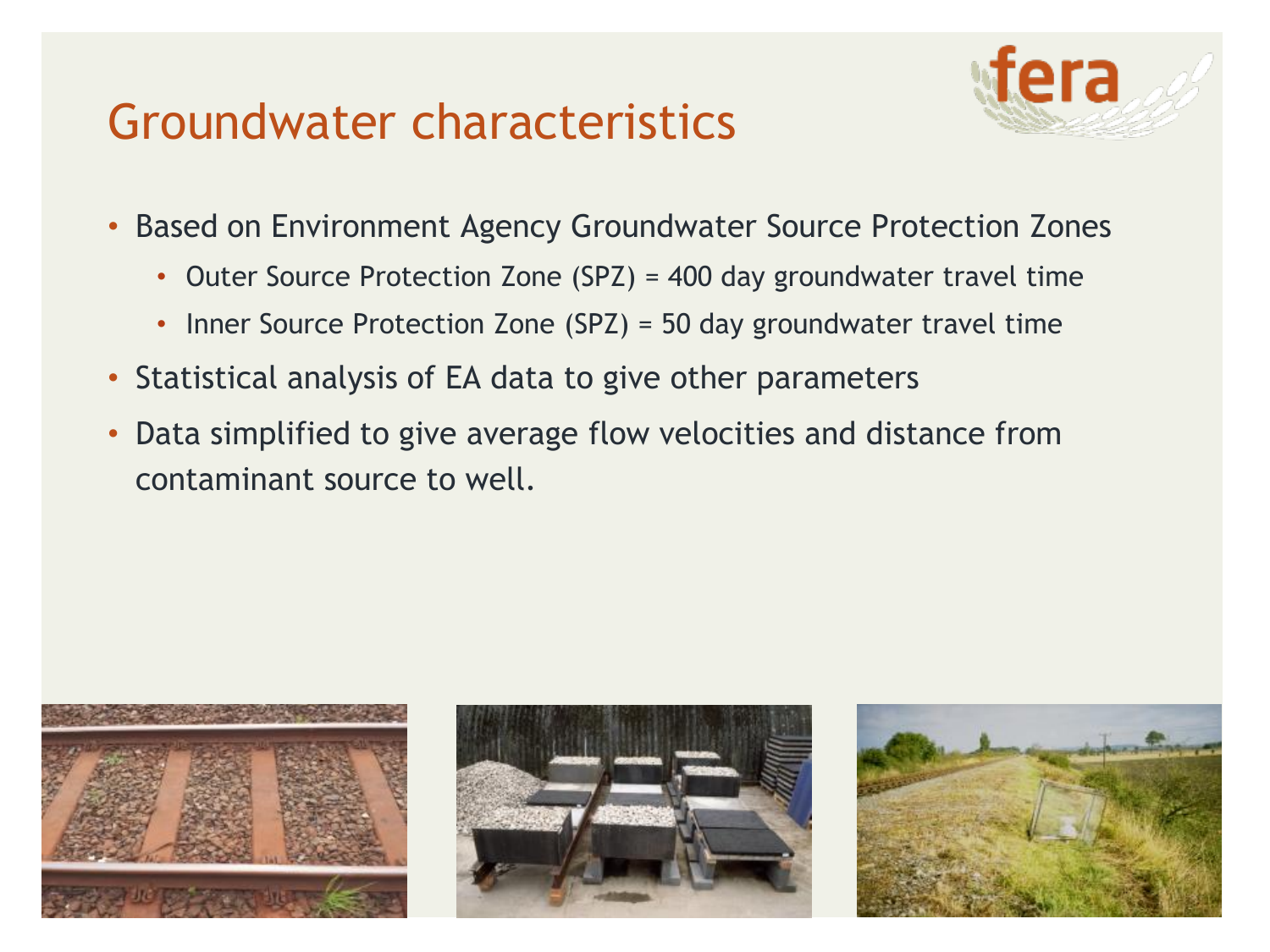### Groundwater characteristics



- Based on Environment Agency Groundwater Source Protection Zones
	- Outer Source Protection Zone (SPZ) = 400 day groundwater travel time
	- Inner Source Protection Zone (SPZ) = 50 day groundwater travel time
- Statistical analysis of EA data to give other parameters
- Data simplified to give average flow velocities and distance from contaminant source to well.





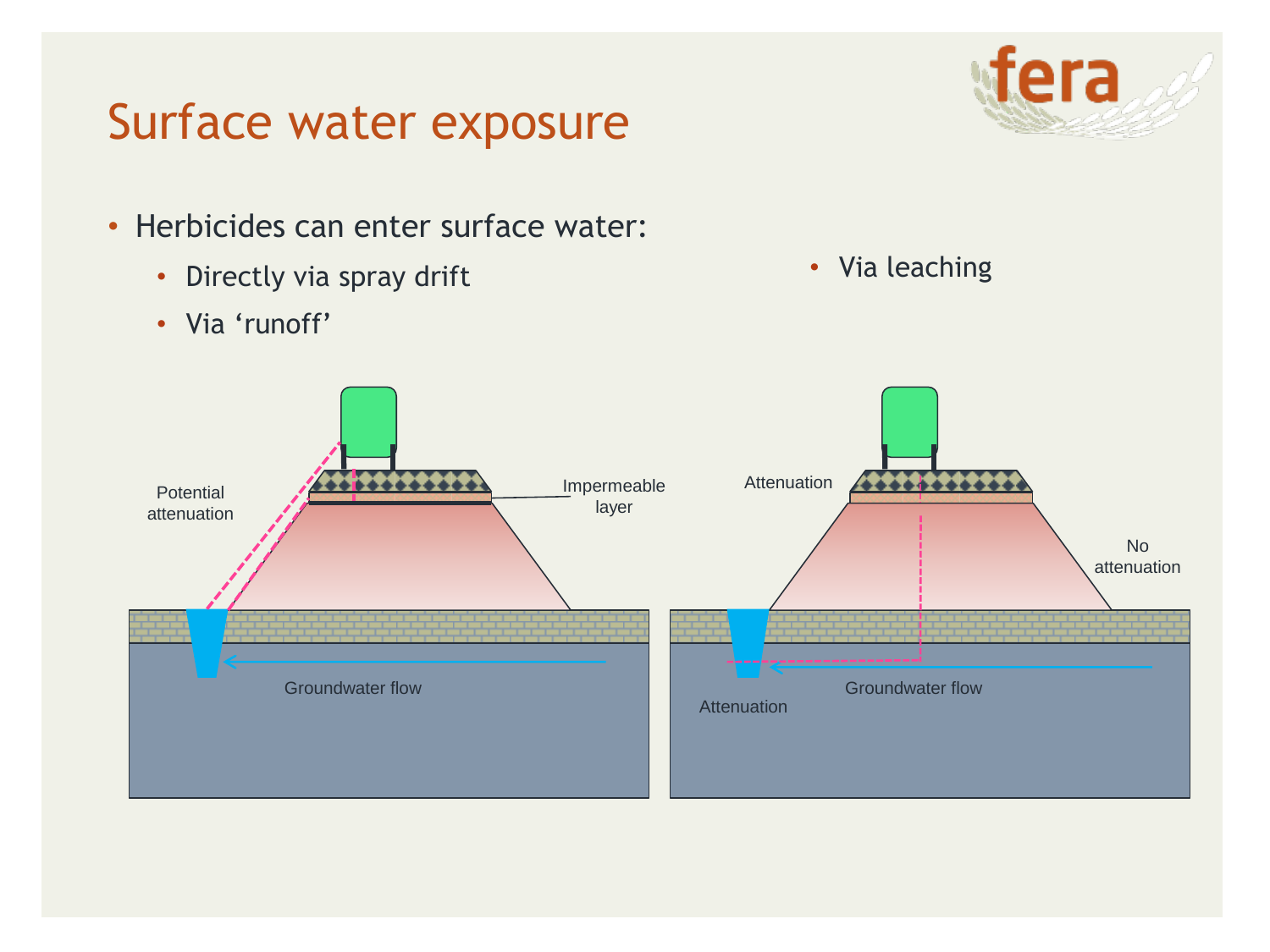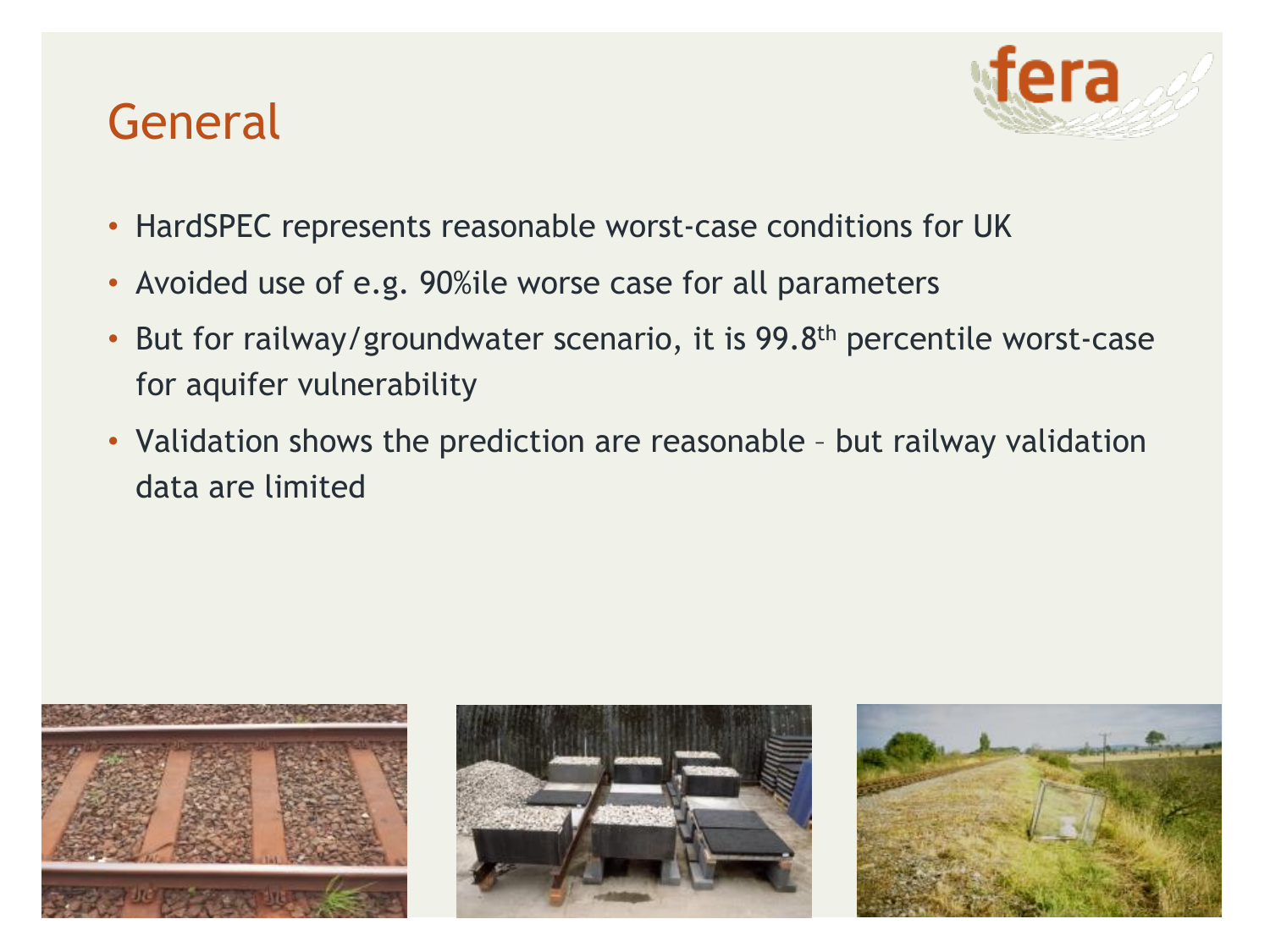## General



- HardSPEC represents reasonable worst-case conditions for UK
- Avoided use of e.g. 90%ile worse case for all parameters
- But for railway/groundwater scenario, it is 99.8<sup>th</sup> percentile worst-case for aquifer vulnerability
- Validation shows the prediction are reasonable but railway validation data are limited